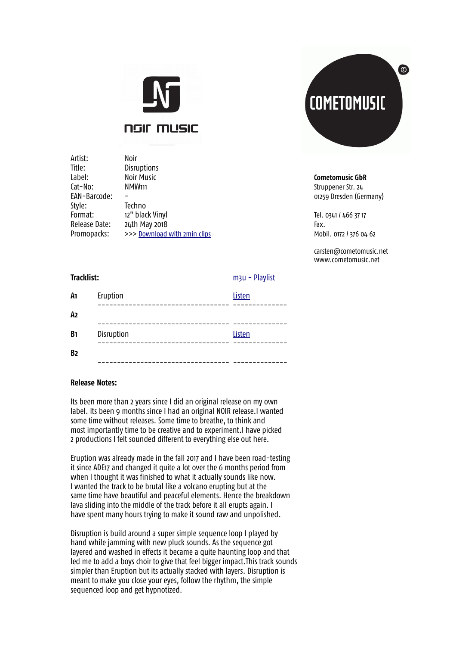

**NGIL WIRE** 

Artist: Noir Title: Disruptions Label: Noir Music **Cometomusic GbR** Cat-No: NMW111 NAMW111 Struppener Str. 24 EAN-Barcode: - 01259 Dresden (Germany) Style: Techno Format: 12" black Vinyl Tel. 0341 / 466 37 17 Release Date: 24th May 2018 **Fax.** Fax. Promopacks: >>> [Download with 2min clips](http://www.cometomusic.net/various/NMW111/NMW111.zip) Mobil. 0172 / 376 04 62



carsten@cometomusic.net www.cometomusic.net

**Tracklist:** [m3u - Playlist](http://www.cometomusic.net/various/NMW111/NMW111.m3u)

| A1             | Eruption   | Listen |
|----------------|------------|--------|
| A <sub>2</sub> |            |        |
| B <sub>1</sub> | Disruption | Listen |
| B <sub>2</sub> |            |        |
|                |            |        |

## **Release Notes:**

Its been more than 2 years since I did an original release on my own label. Its been 9 months since I had an original NOIR release.I wanted some time without releases. Some time to breathe, to think and most importantly time to be creative and to experiment.I have picked 2 productions I felt sounded different to everything else out here.

Eruption was already made in the fall 2017 and I have been road-testing it since ADE17 and changed it quite a lot over the 6 months period from when I thought it was finished to what it actually sounds like now. I wanted the track to be brutal like a volcano erupting but at the same time have beautiful and peaceful elements. Hence the breakdown lava sliding into the middle of the track before it all erupts again. I have spent many hours trying to make it sound raw and unpolished.

Disruption is build around a super simple sequence loop I played by hand while jamming with new pluck sounds. As the sequence got layered and washed in effects it became a quite haunting loop and that led me to add a boys choir to give that feel bigger impact.This track sounds simpler than Eruption but its actually stacked with layers. Disruption is meant to make you close your eyes, follow the rhythm, the simple sequenced loop and get hypnotized.